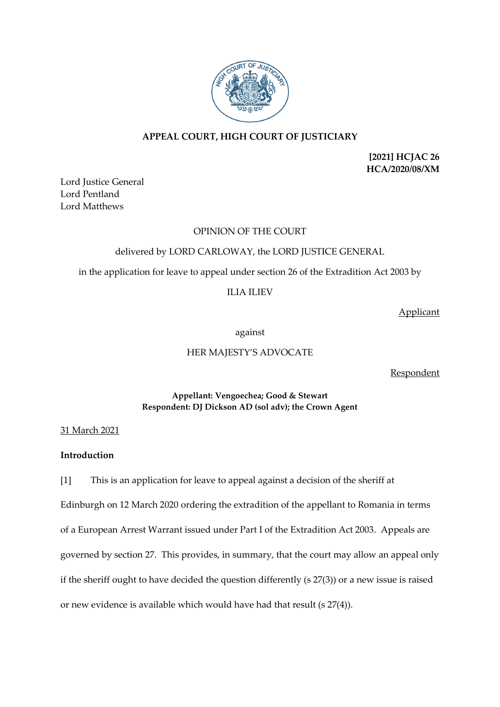

# **APPEAL COURT, HIGH COURT OF JUSTICIARY**

**[2021] HCJAC 26 HCA/2020/08/XM**

Lord Justice General Lord Pentland Lord Matthews

### OPINION OF THE COURT

## delivered by LORD CARLOWAY, the LORD JUSTICE GENERAL

in the application for leave to appeal under section 26 of the Extradition Act 2003 by

ILIA ILIEV

Applicant

against

## HER MAJESTY'S ADVOCATE

Respondent

### **Appellant: Vengoechea; Good & Stewart Respondent: DJ Dickson AD (sol adv); the Crown Agent**

31 March 2021

## **Introduction**

[1] This is an application for leave to appeal against a decision of the sheriff at Edinburgh on 12 March 2020 ordering the extradition of the appellant to Romania in terms of a European Arrest Warrant issued under Part I of the Extradition Act 2003. Appeals are governed by section 27. This provides, in summary, that the court may allow an appeal only if the sheriff ought to have decided the question differently (s 27(3)) or a new issue is raised or new evidence is available which would have had that result (s 27(4)).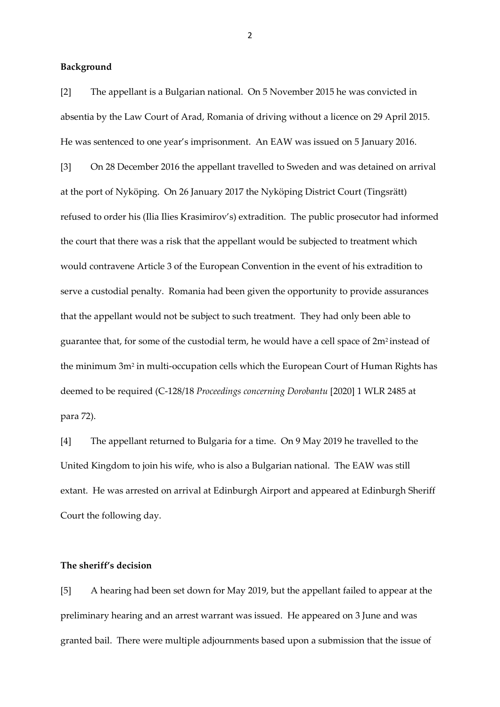### **Background**

[2] The appellant is a Bulgarian national. On 5 November 2015 he was convicted in absentia by the Law Court of Arad, Romania of driving without a licence on 29 April 2015. He was sentenced to one year's imprisonment. An EAW was issued on 5 January 2016.

[3] On 28 December 2016 the appellant travelled to Sweden and was detained on arrival at the port of Nyköping. On 26 January 2017 the Nyköping District Court (Tingsrätt) refused to order his (Ilia Ilies Krasimirov's) extradition. The public prosecutor had informed the court that there was a risk that the appellant would be subjected to treatment which would contravene Article 3 of the European Convention in the event of his extradition to serve a custodial penalty. Romania had been given the opportunity to provide assurances that the appellant would not be subject to such treatment. They had only been able to guarantee that, for some of the custodial term, he would have a cell space of 2m<sup>2</sup> instead of the minimum 3m<sup>2</sup> in multi-occupation cells which the European Court of Human Rights has deemed to be required (C-128/18 *Proceedings concerning Dorobantu* [2020] 1 WLR 2485 at para 72).

[4] The appellant returned to Bulgaria for a time. On 9 May 2019 he travelled to the United Kingdom to join his wife, who is also a Bulgarian national. The EAW was still extant. He was arrested on arrival at Edinburgh Airport and appeared at Edinburgh Sheriff Court the following day.

## **The sheriff's decision**

[5] A hearing had been set down for May 2019, but the appellant failed to appear at the preliminary hearing and an arrest warrant was issued. He appeared on 3 June and was granted bail. There were multiple adjournments based upon a submission that the issue of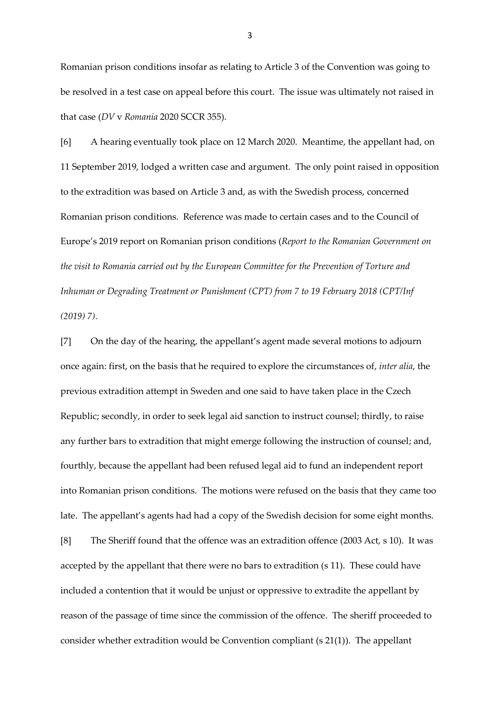Romanian prison conditions insofar as relating to Article 3 of the Convention was going to be resolved in a test case on appeal before this court. The issue was ultimately not raised in that case (*DV* v *Romania* 2020 SCCR 355).

[6] A hearing eventually took place on 12 March 2020. Meantime, the appellant had, on 11 September 2019, lodged a written case and argument. The only point raised in opposition to the extradition was based on Article 3 and, as with the Swedish process, concerned Romanian prison conditions. Reference was made to certain cases and to the Council of Europe's 2019 report on Romanian prison conditions (*Report to the Romanian Government on the visit to Romania carried out by the European Committee for the Prevention of Torture and Inhuman or Degrading Treatment or Punishment (CPT) from 7 to 19 February 2018 (CPT/Inf (2019) 7)*.

[7] On the day of the hearing, the appellant's agent made several motions to adjourn once again: first, on the basis that he required to explore the circumstances of, *inter alia*, the previous extradition attempt in Sweden and one said to have taken place in the Czech Republic; secondly, in order to seek legal aid sanction to instruct counsel; thirdly, to raise any further bars to extradition that might emerge following the instruction of counsel; and, fourthly, because the appellant had been refused legal aid to fund an independent report into Romanian prison conditions. The motions were refused on the basis that they came too late. The appellant's agents had had a copy of the Swedish decision for some eight months. [8] The Sheriff found that the offence was an extradition offence (2003 Act, s 10). It was accepted by the appellant that there were no bars to extradition (s 11). These could have included a contention that it would be unjust or oppressive to extradite the appellant by reason of the passage of time since the commission of the offence. The sheriff proceeded to consider whether extradition would be Convention compliant (s 21(1)). The appellant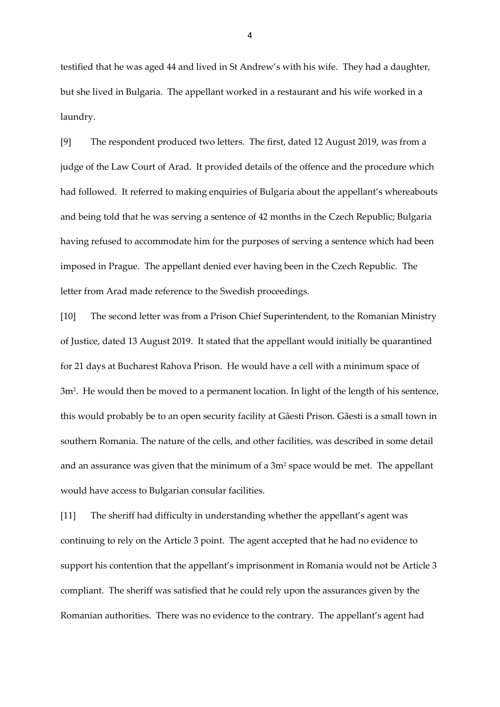testified that he was aged 44 and lived in St Andrew's with his wife. They had a daughter, but she lived in Bulgaria. The appellant worked in a restaurant and his wife worked in a laundry.

[9] The respondent produced two letters. The first, dated 12 August 2019, was from a judge of the Law Court of Arad. It provided details of the offence and the procedure which had followed. It referred to making enquiries of Bulgaria about the appellant's whereabouts and being told that he was serving a sentence of 42 months in the Czech Republic; Bulgaria having refused to accommodate him for the purposes of serving a sentence which had been imposed in Prague. The appellant denied ever having been in the Czech Republic. The letter from Arad made reference to the Swedish proceedings.

[10] The second letter was from a Prison Chief Superintendent, to the Romanian Ministry of Justice, dated 13 August 2019. It stated that the appellant would initially be quarantined for 21 days at Bucharest Rahova Prison. He would have a cell with a minimum space of 3m<sup>2</sup> . He would then be moved to a permanent location. In light of the length of his sentence, this would probably be to an open security facility at Gãesti Prison. Gãesti is a small town in southern Romania. The nature of the cells, and other facilities, was described in some detail and an assurance was given that the minimum of a 3m<sup>2</sup> space would be met. The appellant would have access to Bulgarian consular facilities.

[11] The sheriff had difficulty in understanding whether the appellant's agent was continuing to rely on the Article 3 point. The agent accepted that he had no evidence to support his contention that the appellant's imprisonment in Romania would not be Article 3 compliant. The sheriff was satisfied that he could rely upon the assurances given by the Romanian authorities. There was no evidence to the contrary. The appellant's agent had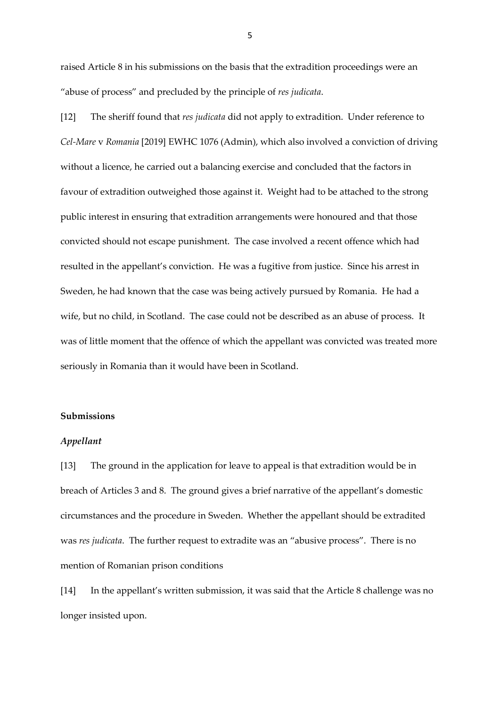raised Article 8 in his submissions on the basis that the extradition proceedings were an "abuse of process" and precluded by the principle of *res judicata*.

[12] The sheriff found that *res judicata* did not apply to extradition. Under reference to *Cel-Mare* v *Romania* [2019] EWHC 1076 (Admin), which also involved a conviction of driving without a licence, he carried out a balancing exercise and concluded that the factors in favour of extradition outweighed those against it. Weight had to be attached to the strong public interest in ensuring that extradition arrangements were honoured and that those convicted should not escape punishment. The case involved a recent offence which had resulted in the appellant's conviction. He was a fugitive from justice. Since his arrest in Sweden, he had known that the case was being actively pursued by Romania. He had a wife, but no child, in Scotland. The case could not be described as an abuse of process. It was of little moment that the offence of which the appellant was convicted was treated more seriously in Romania than it would have been in Scotland.

#### **Submissions**

#### *Appellant*

[13] The ground in the application for leave to appeal is that extradition would be in breach of Articles 3 and 8. The ground gives a brief narrative of the appellant's domestic circumstances and the procedure in Sweden. Whether the appellant should be extradited was *res judicata*. The further request to extradite was an "abusive process". There is no mention of Romanian prison conditions

[14] In the appellant's written submission, it was said that the Article 8 challenge was no longer insisted upon.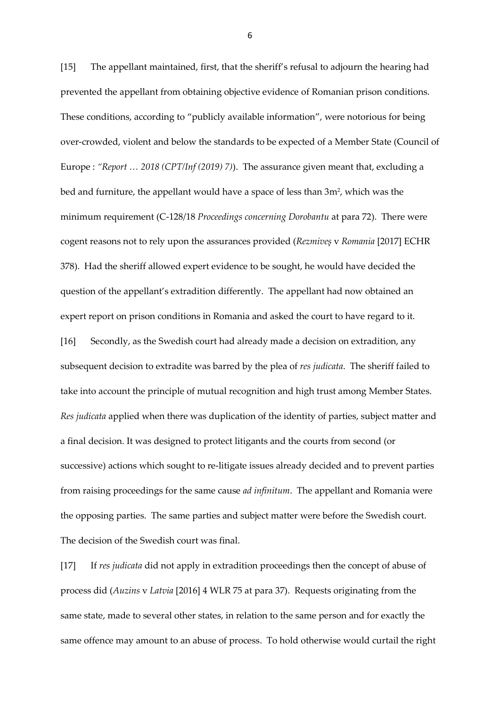[15] The appellant maintained, first, that the sheriff's refusal to adjourn the hearing had prevented the appellant from obtaining objective evidence of Romanian prison conditions. These conditions, according to "publicly available information", were notorious for being over-crowded, violent and below the standards to be expected of a Member State (Council of Europe : *"Report … 2018 (CPT/Inf (2019) 7)*). The assurance given meant that, excluding a bed and furniture, the appellant would have a space of less than 3m², which was the minimum requirement (C-128/18 *Proceedings concerning Dorobantu* at para 72). There were cogent reasons not to rely upon the assurances provided (*Rezmiveş* v *Romania* [2017] ECHR 378). Had the sheriff allowed expert evidence to be sought, he would have decided the question of the appellant's extradition differently. The appellant had now obtained an expert report on prison conditions in Romania and asked the court to have regard to it. [16] Secondly, as the Swedish court had already made a decision on extradition, any subsequent decision to extradite was barred by the plea of *res judicata*. The sheriff failed to take into account the principle of mutual recognition and high trust among Member States. *Res judicata* applied when there was duplication of the identity of parties, subject matter and a final decision. It was designed to protect litigants and the courts from second (or successive) actions which sought to re-litigate issues already decided and to prevent parties from raising proceedings for the same cause *ad infinitum*. The appellant and Romania were the opposing parties. The same parties and subject matter were before the Swedish court. The decision of the Swedish court was final.

[17] If *res judicata* did not apply in extradition proceedings then the concept of abuse of process did (*Auzins* v *Latvia* [2016] 4 WLR 75 at para 37). Requests originating from the same state, made to several other states, in relation to the same person and for exactly the same offence may amount to an abuse of process. To hold otherwise would curtail the right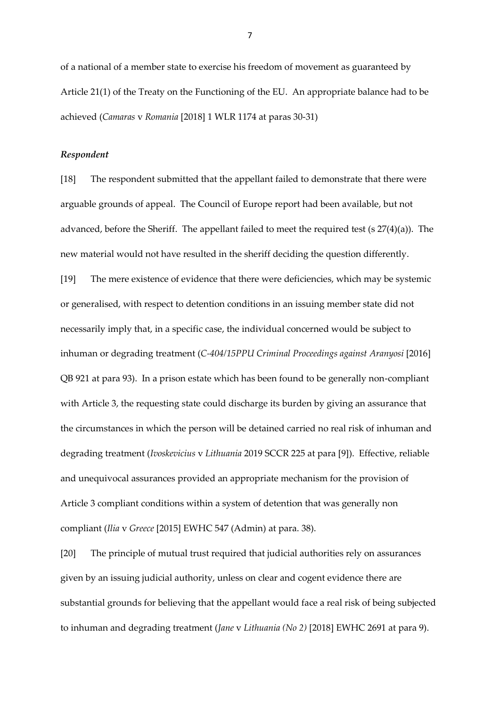of a national of a member state to exercise his freedom of movement as guaranteed by Article 21(1) of the Treaty on the Functioning of the EU. An appropriate balance had to be achieved (*Camaras* v *Romania* [2018] 1 WLR 1174 at paras 30-31)

### *Respondent*

[18] The respondent submitted that the appellant failed to demonstrate that there were arguable grounds of appeal. The Council of Europe report had been available, but not advanced, before the Sheriff. The appellant failed to meet the required test (s 27(4)(a)). The new material would not have resulted in the sheriff deciding the question differently. [19] The mere existence of evidence that there were deficiencies, which may be systemic or generalised, with respect to detention conditions in an issuing member state did not necessarily imply that, in a specific case, the individual concerned would be subject to inhuman or degrading treatment (*C-404/15PPU Criminal Proceedings against Aranyosi* [2016] QB 921 at para 93). In a prison estate which has been found to be generally non-compliant with Article 3, the requesting state could discharge its burden by giving an assurance that the circumstances in which the person will be detained carried no real risk of inhuman and degrading treatment (*Ivoskevicius* v *Lithuania* 2019 SCCR 225 at para [9]). Effective, reliable and unequivocal assurances provided an appropriate mechanism for the provision of Article 3 compliant conditions within a system of detention that was generally non compliant (*Ilia* v *Greece* [2015] EWHC 547 (Admin) at para. 38).

[20] The principle of mutual trust required that judicial authorities rely on assurances given by an issuing judicial authority, unless on clear and cogent evidence there are substantial grounds for believing that the appellant would face a real risk of being subjected to inhuman and degrading treatment (*Jane* v *Lithuania (No 2)* [2018] EWHC 2691 at para 9).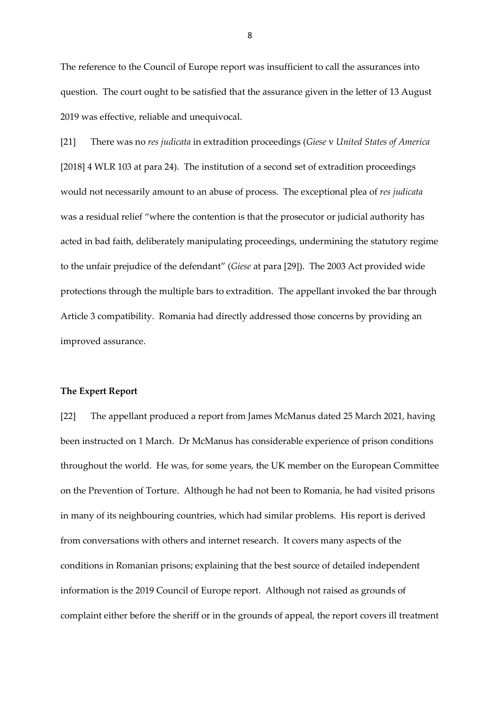The reference to the Council of Europe report was insufficient to call the assurances into question. The court ought to be satisfied that the assurance given in the letter of 13 August 2019 was effective, reliable and unequivocal.

[21] There was no *res judicata* in extradition proceedings (*Giese* v *United States of America*  [2018] 4 WLR 103 at para 24). The institution of a second set of extradition proceedings would not necessarily amount to an abuse of process. The exceptional plea of *res judicata* was a residual relief "where the contention is that the prosecutor or judicial authority has acted in bad faith, deliberately manipulating proceedings, undermining the statutory regime to the unfair prejudice of the defendant" (*Giese* at para [29]). The 2003 Act provided wide protections through the multiple bars to extradition. The appellant invoked the bar through Article 3 compatibility. Romania had directly addressed those concerns by providing an improved assurance.

#### **The Expert Report**

[22] The appellant produced a report from James McManus dated 25 March 2021, having been instructed on 1 March. Dr McManus has considerable experience of prison conditions throughout the world. He was, for some years, the UK member on the European Committee on the Prevention of Torture. Although he had not been to Romania, he had visited prisons in many of its neighbouring countries, which had similar problems. His report is derived from conversations with others and internet research. It covers many aspects of the conditions in Romanian prisons; explaining that the best source of detailed independent information is the 2019 Council of Europe report. Although not raised as grounds of complaint either before the sheriff or in the grounds of appeal, the report covers ill treatment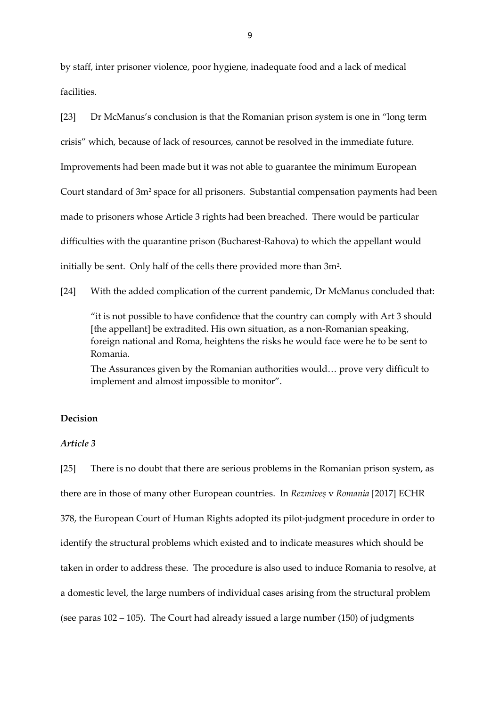by staff, inter prisoner violence, poor hygiene, inadequate food and a lack of medical facilities.

[23] Dr McManus's conclusion is that the Romanian prison system is one in "long term crisis" which, because of lack of resources, cannot be resolved in the immediate future. Improvements had been made but it was not able to guarantee the minimum European Court standard of 3m<sup>2</sup> space for all prisoners. Substantial compensation payments had been made to prisoners whose Article 3 rights had been breached. There would be particular difficulties with the quarantine prison (Bucharest-Rahova) to which the appellant would initially be sent. Only half of the cells there provided more than  $3m^2$ .

[24] With the added complication of the current pandemic, Dr McManus concluded that:

"it is not possible to have confidence that the country can comply with Art 3 should [the appellant] be extradited. His own situation, as a non-Romanian speaking, foreign national and Roma, heightens the risks he would face were he to be sent to Romania.

The Assurances given by the Romanian authorities would… prove very difficult to implement and almost impossible to monitor".

### **Decision**

#### *Article 3*

[25] There is no doubt that there are serious problems in the Romanian prison system, as there are in those of many other European countries. In *Rezmiveş* v *Romania* [2017] ECHR 378, the European Court of Human Rights adopted its pilot-judgment procedure in order to identify the structural problems which existed and to indicate measures which should be taken in order to address these. The procedure is also used to induce Romania to resolve, at a domestic level, the large numbers of individual cases arising from the structural problem (see paras 102 – 105). The Court had already issued a large number (150) of judgments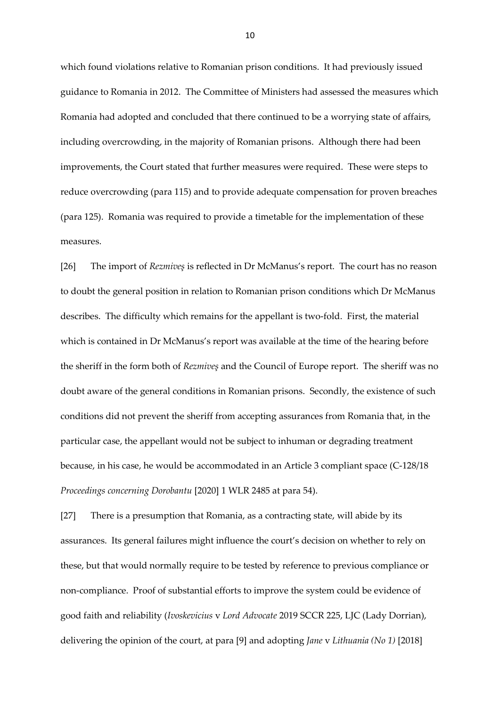which found violations relative to Romanian prison conditions. It had previously issued guidance to Romania in 2012. The Committee of Ministers had assessed the measures which Romania had adopted and concluded that there continued to be a worrying state of affairs, including overcrowding, in the majority of Romanian prisons. Although there had been improvements, the Court stated that further measures were required. These were steps to reduce overcrowding (para 115) and to provide adequate compensation for proven breaches (para 125). Romania was required to provide a timetable for the implementation of these measures.

[26] The import of *Rezmiveş* is reflected in Dr McManus's report. The court has no reason to doubt the general position in relation to Romanian prison conditions which Dr McManus describes. The difficulty which remains for the appellant is two-fold. First, the material which is contained in Dr McManus's report was available at the time of the hearing before the sheriff in the form both of *Rezmiveş* and the Council of Europe report. The sheriff was no doubt aware of the general conditions in Romanian prisons. Secondly, the existence of such conditions did not prevent the sheriff from accepting assurances from Romania that, in the particular case, the appellant would not be subject to inhuman or degrading treatment because, in his case, he would be accommodated in an Article 3 compliant space (C-128/18 *Proceedings concerning Dorobantu* [2020] 1 WLR 2485 at para 54).

[27] There is a presumption that Romania, as a contracting state, will abide by its assurances. Its general failures might influence the court's decision on whether to rely on these, but that would normally require to be tested by reference to previous compliance or non-compliance. Proof of substantial efforts to improve the system could be evidence of good faith and reliability (*Ivoskevicius* v *Lord Advocate* 2019 SCCR 225, LJC (Lady Dorrian), delivering the opinion of the court, at para [9] and adopting *Jane* v *Lithuania (No 1)* [2018]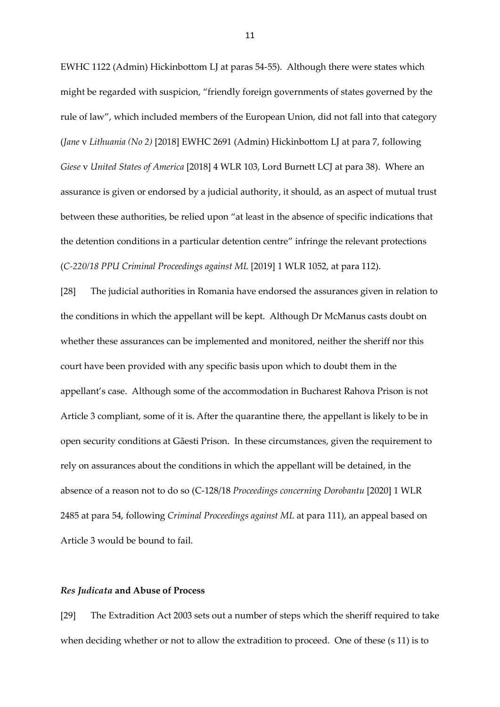EWHC 1122 (Admin) Hickinbottom LJ at paras 54-55). Although there were states which might be regarded with suspicion, "friendly foreign governments of states governed by the rule of law", which included members of the European Union, did not fall into that category (*Jane* v *Lithuania (No 2)* [2018] EWHC 2691 (Admin) Hickinbottom LJ at para 7, following *Giese* v *United States of America* [2018] 4 WLR 103, Lord Burnett LCJ at para 38). Where an assurance is given or endorsed by a judicial authority, it should, as an aspect of mutual trust between these authorities, be relied upon "at least in the absence of specific indications that the detention conditions in a particular detention centre" infringe the relevant protections (*C-220/18 PPU Criminal Proceedings against ML* [2019] 1 WLR 1052, at para 112).

[28] The judicial authorities in Romania have endorsed the assurances given in relation to the conditions in which the appellant will be kept. Although Dr McManus casts doubt on whether these assurances can be implemented and monitored, neither the sheriff nor this court have been provided with any specific basis upon which to doubt them in the appellant's case. Although some of the accommodation in Bucharest Rahova Prison is not Article 3 compliant, some of it is. After the quarantine there, the appellant is likely to be in open security conditions at Gãesti Prison. In these circumstances, given the requirement to rely on assurances about the conditions in which the appellant will be detained, in the absence of a reason not to do so (C-128/18 *Proceedings concerning Dorobantu* [2020] 1 WLR 2485 at para 54, following *Criminal Proceedings against ML* at para 111), an appeal based on Article 3 would be bound to fail.

#### *Res Judicata* **and Abuse of Process**

[29] The Extradition Act 2003 sets out a number of steps which the sheriff required to take when deciding whether or not to allow the extradition to proceed. One of these (s 11) is to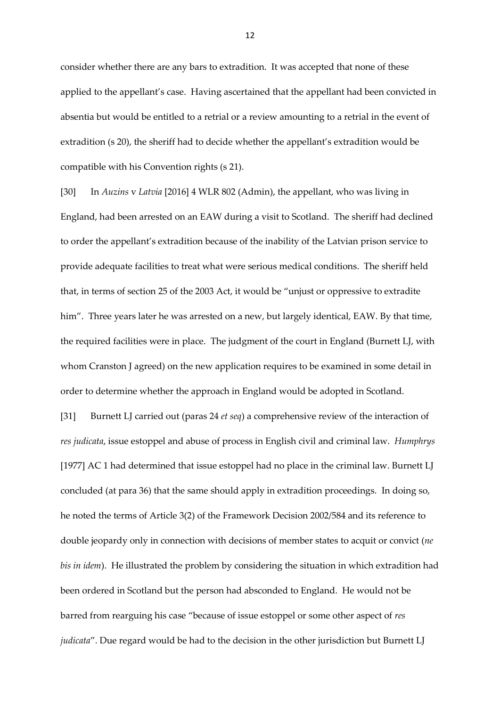consider whether there are any bars to extradition. It was accepted that none of these applied to the appellant's case. Having ascertained that the appellant had been convicted in absentia but would be entitled to a retrial or a review amounting to a retrial in the event of extradition (s 20), the sheriff had to decide whether the appellant's extradition would be compatible with his Convention rights (s 21).

[30] In *Auzins* v *Latvia* [2016] 4 WLR 802 (Admin), the appellant, who was living in England, had been arrested on an EAW during a visit to Scotland. The sheriff had declined to order the appellant's extradition because of the inability of the Latvian prison service to provide adequate facilities to treat what were serious medical conditions. The sheriff held that, in terms of section 25 of the 2003 Act, it would be "unjust or oppressive to extradite him". Three years later he was arrested on a new, but largely identical, EAW. By that time, the required facilities were in place. The judgment of the court in England (Burnett LJ, with whom Cranston J agreed) on the new application requires to be examined in some detail in order to determine whether the approach in England would be adopted in Scotland.

[31] Burnett LJ carried out (paras 24 *et seq*) a comprehensive review of the interaction of *res judicata*, issue estoppel and abuse of process in English civil and criminal law. *Humphrys* [1977] AC 1 had determined that issue estoppel had no place in the criminal law. Burnett LJ concluded (at para 36) that the same should apply in extradition proceedings. In doing so, he noted the terms of Article 3(2) of the Framework Decision 2002/584 and its reference to double jeopardy only in connection with decisions of member states to acquit or convict (*ne bis in idem*). He illustrated the problem by considering the situation in which extradition had been ordered in Scotland but the person had absconded to England. He would not be barred from rearguing his case "because of issue estoppel or some other aspect of *res judicata*". Due regard would be had to the decision in the other jurisdiction but Burnett LJ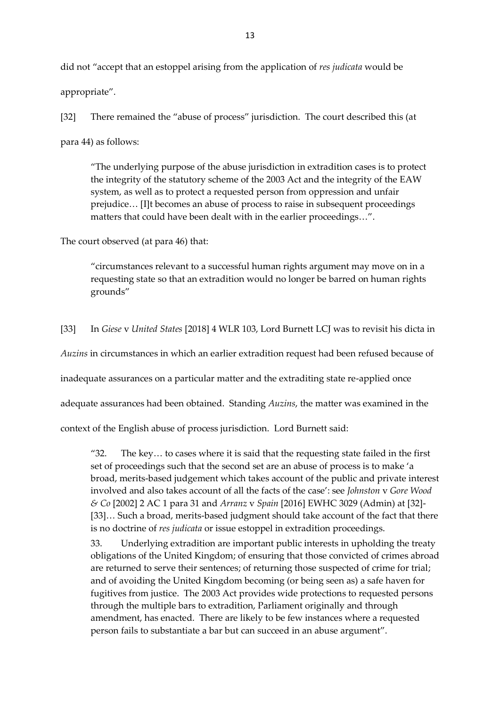did not "accept that an estoppel arising from the application of *res judicata* would be appropriate".

[32] There remained the "abuse of process" jurisdiction. The court described this (at para 44) as follows:

"The underlying purpose of the abuse jurisdiction in extradition cases is to protect the integrity of the statutory scheme of the 2003 Act and the integrity of the EAW system, as well as to protect a requested person from oppression and unfair prejudice… [I]t becomes an abuse of process to raise in subsequent proceedings matters that could have been dealt with in the earlier proceedings…".

The court observed (at para 46) that:

"circumstances relevant to a successful human rights argument may move on in a requesting state so that an extradition would no longer be barred on human rights grounds"

[33] In *Giese* v *United States* [2018] 4 WLR 103, Lord Burnett LCJ was to revisit his dicta in

*Auzins* in circumstances in which an earlier extradition request had been refused because of

inadequate assurances on a particular matter and the extraditing state re-applied once

adequate assurances had been obtained. Standing *Auzins*, the matter was examined in the

context of the English abuse of process jurisdiction. Lord Burnett said:

"32. The key… to cases where it is said that the requesting state failed in the first set of proceedings such that the second set are an abuse of process is to make 'a broad, merits-based judgement which takes account of the public and private interest involved and also takes account of all the facts of the case': see *Johnston* v *Gore Wood & Co* [2002] 2 AC 1 para 31 and *Arranz* v *Spain* [2016] EWHC 3029 (Admin) at [32]- [33]... Such a broad, merits-based judgment should take account of the fact that there is no doctrine of *res judicata* or issue estoppel in extradition proceedings.

33. Underlying extradition are important public interests in upholding the treaty obligations of the United Kingdom; of ensuring that those convicted of crimes abroad are returned to serve their sentences; of returning those suspected of crime for trial; and of avoiding the United Kingdom becoming (or being seen as) a safe haven for fugitives from justice. The 2003 Act provides wide protections to requested persons through the multiple bars to extradition, Parliament originally and through amendment, has enacted. There are likely to be few instances where a requested person fails to substantiate a bar but can succeed in an abuse argument".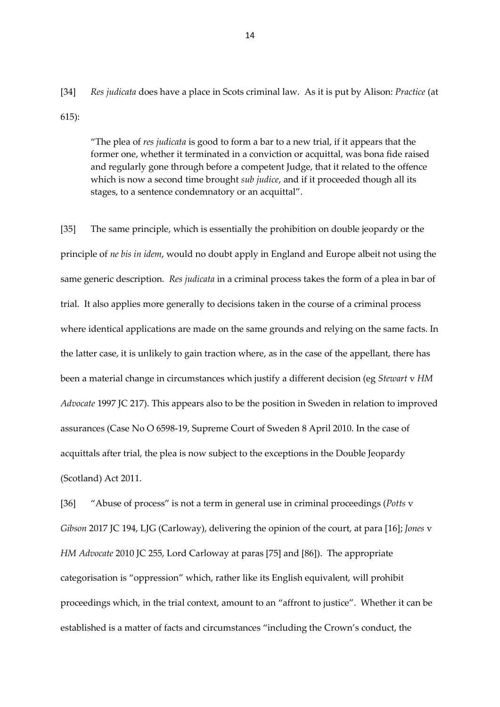[34] *Res judicata* does have a place in Scots criminal law. As it is put by Alison: *Practice* (at 615):

"The plea of *res judicata* is good to form a bar to a new trial, if it appears that the former one, whether it terminated in a conviction or acquittal, was bona fide raised and regularly gone through before a competent Judge, that it related to the offence which is now a second time brought *sub judice*, and if it proceeded though all its stages, to a sentence condemnatory or an acquittal".

[35] The same principle, which is essentially the prohibition on double jeopardy or the principle of *ne bis in idem*, would no doubt apply in England and Europe albeit not using the same generic description. *Res judicata* in a criminal process takes the form of a plea in bar of trial. It also applies more generally to decisions taken in the course of a criminal process where identical applications are made on the same grounds and relying on the same facts. In the latter case, it is unlikely to gain traction where, as in the case of the appellant, there has been a material change in circumstances which justify a different decision (eg *Stewart* v *HM Advocate* 1997 JC 217). This appears also to be the position in Sweden in relation to improved assurances (Case No O 6598-19, Supreme Court of Sweden 8 April 2010. In the case of acquittals after trial, the plea is now subject to the exceptions in the Double Jeopardy (Scotland) Act 2011.

[36] "Abuse of process" is not a term in general use in criminal proceedings (*Potts* v *Gibson* 2017 JC 194, LJG (Carloway), delivering the opinion of the court, at para [16]; *Jones* v *HM Advocate* 2010 JC 255, Lord Carloway at paras [75] and [86]). The appropriate categorisation is "oppression" which, rather like its English equivalent, will prohibit proceedings which, in the trial context, amount to an "affront to justice". Whether it can be established is a matter of facts and circumstances "including the Crown's conduct, the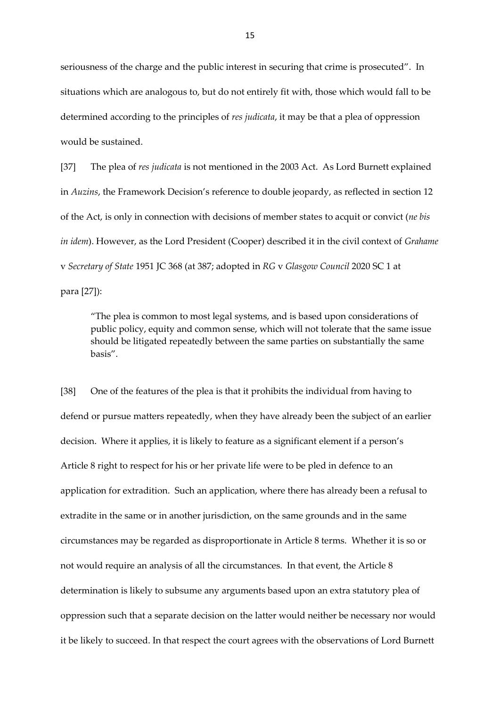seriousness of the charge and the public interest in securing that crime is prosecuted". In situations which are analogous to, but do not entirely fit with, those which would fall to be determined according to the principles of *res judicata*, it may be that a plea of oppression would be sustained.

[37] The plea of *res judicata* is not mentioned in the 2003 Act. As Lord Burnett explained in *Auzins*, the Framework Decision's reference to double jeopardy, as reflected in section 12 of the Act, is only in connection with decisions of member states to acquit or convict (*ne bis in idem*). However, as the Lord President (Cooper) described it in the civil context of *Grahame*  v *Secretary of State* 1951 JC 368 (at 387; adopted in *RG* v *Glasgow Council* 2020 SC 1 at para [27]):

"The plea is common to most legal systems, and is based upon considerations of public policy, equity and common sense, which will not tolerate that the same issue should be litigated repeatedly between the same parties on substantially the same basis".

[38] One of the features of the plea is that it prohibits the individual from having to defend or pursue matters repeatedly, when they have already been the subject of an earlier decision. Where it applies, it is likely to feature as a significant element if a person's Article 8 right to respect for his or her private life were to be pled in defence to an application for extradition. Such an application, where there has already been a refusal to extradite in the same or in another jurisdiction, on the same grounds and in the same circumstances may be regarded as disproportionate in Article 8 terms. Whether it is so or not would require an analysis of all the circumstances. In that event, the Article 8 determination is likely to subsume any arguments based upon an extra statutory plea of oppression such that a separate decision on the latter would neither be necessary nor would it be likely to succeed. In that respect the court agrees with the observations of Lord Burnett